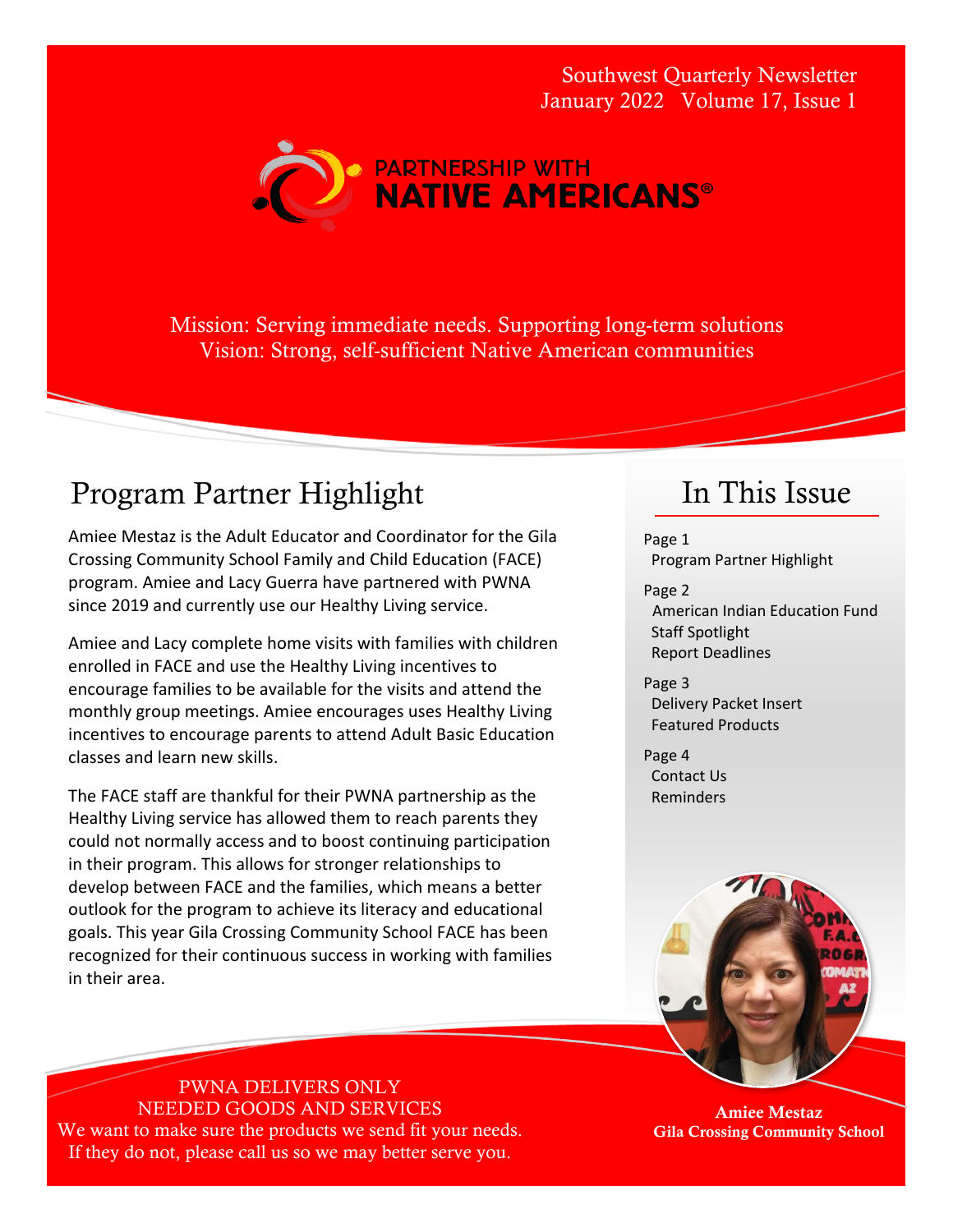Southwest Quarterly Newsletter January 2022 Volume 17, Issue 1



Mission: Serving immediate needs. Supporting long-term solutions Vision: Strong, self-sufficient Native American communities

#### Program Partner Highlight

Amiee Mestaz is the Adult Educator and Coordinator for the Gila Crossing Community School Family and Child Education (FACE) program. Amiee and Lacy Guerra have partnered with PWNA since 2019 and currently use our Healthy Living service.

Amiee and Lacy complete home visits with families with children enrolled in FACE and use the Healthy Living incentives to encourage families to be available for the visits and attend the monthly group meetings. Amiee encourages uses Healthy Living incentives to encourage parents to attend Adult Basic Education classes and learn new skills.

The FACE staff are thankful for their PWNA partnership as the Healthy Living service has allowed them to reach parents they could not normally access and to boost continuing participation in their program. This allows for stronger relationships to develop between FACE and the families, which means a better outlook for the program to achieve its literacy and educational goals. This year Gila Crossing Community School FACE has been recognized for their continuous success in working with families in their area.

## In This Issue

Page 1 Program Partner Highlight

- Page 2 American Indian Education Fund Staff Spotlight Report Deadlines
- Page 3 Delivery Packet Insert Featured Products

Page 4 Contact Us Reminders



Amiee Mestaz Gila Crossing Community School

#### PWNA DELIVERS ONLY NEEDED GOODS AND SERVICES

We want to make sure the products we send fit your needs. If they do not, please call us so we may better serve you.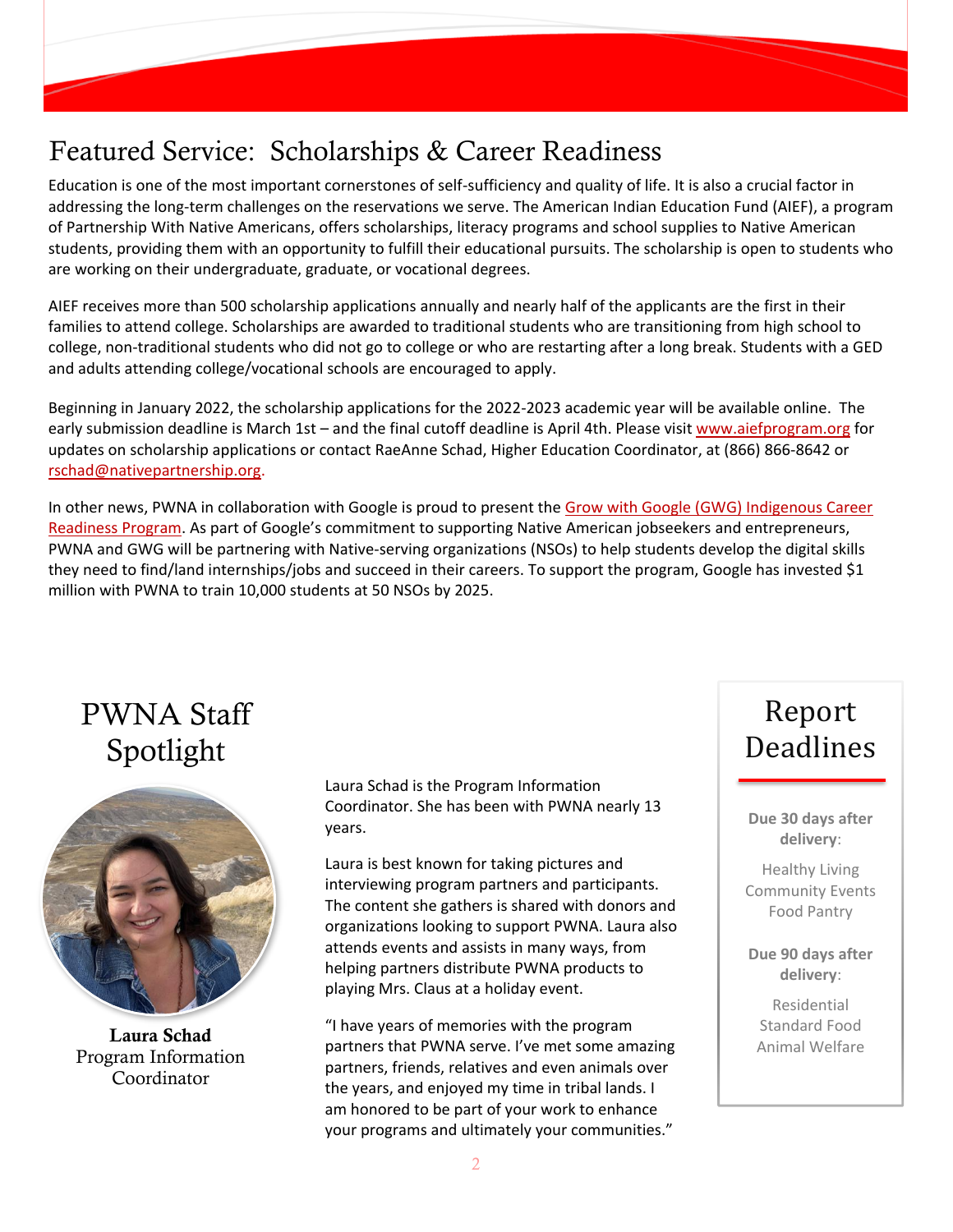#### Featured Service: Scholarships & Career Readiness

Education is one of the most important cornerstones of self-sufficiency and quality of life. It is also a crucial factor in addressing the long-term challenges on the reservations we serve. The American Indian Education Fund (AIEF), a program of Partnership With Native Americans, offers scholarships, literacy programs and school supplies to Native American students, providing them with an opportunity to fulfill their educational pursuits. The scholarship is open to students who are working on their undergraduate, graduate, or vocational degrees.

AIEF receives more than 500 scholarship applications annually and nearly half of the applicants are the first in their families to attend college. Scholarships are awarded to traditional students who are transitioning from high school to college, non-traditional students who did not go to college or who are restarting after a long break. Students with a GED and adults attending college/vocational schools are encouraged to apply.

Beginning in January 2022, the scholarship applications for the 2022-2023 academic year will be available online. The early submission deadline is March 1st – and the final cutoff deadline is April 4th. Please visit [www.aiefprogram.org](http://www.aiefprogram.org/) for updates on scholarship applications or contact RaeAnne Schad, Higher Education Coordinator, at (866) 866-8642 or [rschad@nativepartnership.org.](mailto:rschad@nativepartnership.org)

In other news, PWNA in collaboration with Google is proud to present the Grow with Google (GWG) [Indigenous Career](http://www.nativepartnership.org/site/PageServer?pagename=grow_with_google)  [Readiness Program](http://www.nativepartnership.org/site/PageServer?pagename=grow_with_google). As part of Google's commitment to supporting Native American jobseekers and entrepreneurs, PWNA and GWG will be partnering with Native-serving organizations (NSOs) to help students develop the digital skills they need to find/land internships/jobs and succeed in their careers. To support the program, Google has invested \$1 million with PWNA to train 10,000 students at 50 NSOs by 2025.

#### PWNA Staff Spotlight



Laura Schad Program Information Coordinator

Laura Schad is the Program Information Coordinator. She has been with PWNA nearly 13 years.

Laura is best known for taking pictures and interviewing program partners and participants. The content she gathers is shared with donors and organizations looking to support PWNA. Laura also attends events and assists in many ways, from helping partners distribute PWNA products to playing Mrs. Claus at a holiday event.

"I have years of memories with the program partners that PWNA serve. I've met some amazing partners, friends, relatives and even animals over the years, and enjoyed my time in tribal lands. I am honored to be part of your work to enhance your programs and ultimately your communities."

## Report Deadlines

**Due 30 days after delivery**:

Healthy Living Community Events Food Pantry

**Due 90 days after delivery**:

Residential Standard Food Animal Welfare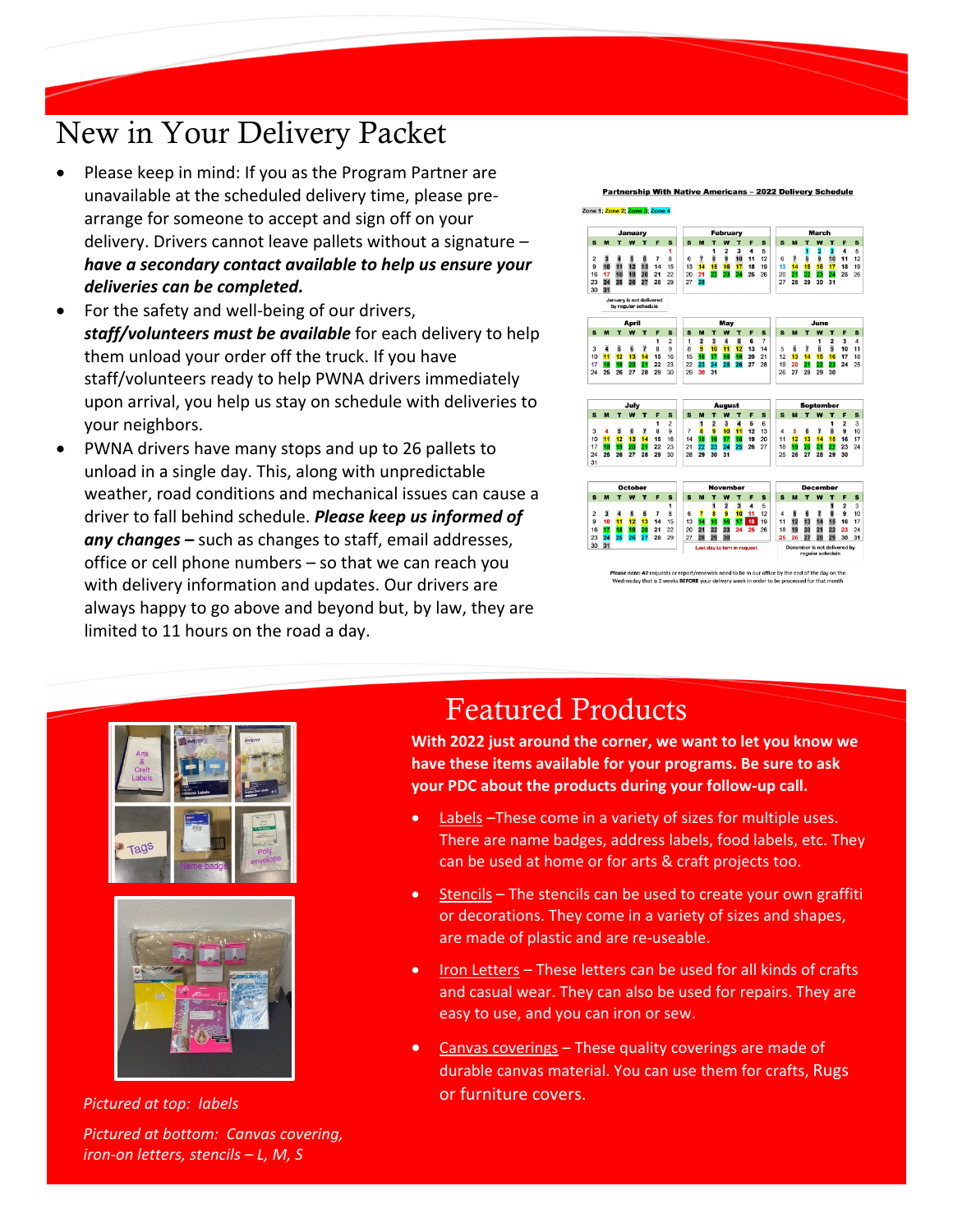# New in Your Delivery Packet

- Please keep in mind: If you as the Program Partner are unavailable at the scheduled delivery time, please prearrange for someone to accept and sign off on your delivery. Drivers cannot leave pallets without a signature – *have a secondary contact available to help us ensure your deliveries can be completed.*
- For the safety and well-being of our drivers, *staff/volunteers must be available* for each delivery to help them unload your order off the truck. If you have staff/volunteers ready to help PWNA drivers immediately upon arrival, you help us stay on schedule with deliveries to your neighbors.
- PWNA drivers have many stops and up to 26 pallets to unload in a single day. This, along with unpredictable weather, road conditions and mechanical issues can cause a driver to fall behind schedule. *Please keep us informed of any changes –* such as changes to staff, email addresses, office or cell phone numbers – so that we can reach you with delivery information and updates. Our drivers are always happy to go above and beyond but, by law, they are limited to 11 hours on the road a day.

rship With Native Americans - 2022 Delivery Scho



als need to be in our office by the end of the day on th that is 2 weeks **BEFORE** your delivery week in order to be



or furniture covers. *Pictured at top: labels Pictured at bottom: Canvas covering, iron-on letters, stencils – L, M, S*

# Featured Products

**With 2022 just around the corner, we want to let you know we have these items available for your programs. Be sure to ask your PDC about the products during your follow-up call.** 

- Labels -These come in a variety of sizes for multiple uses. There are name badges, address labels, food labels, etc. They can be used at home or for arts & craft projects too.
- Stencils The stencils can be used to create your own graffiti or decorations. They come in a variety of sizes and shapes, are made of plastic and are re-useable.
- Iron Letters These letters can be used for all kinds of crafts and casual wear. They can also be used for repairs. They are easy to use, and you can iron or sew.
- Canvas coverings These quality coverings are made of durable canvas material. You can use them for crafts, Rugs